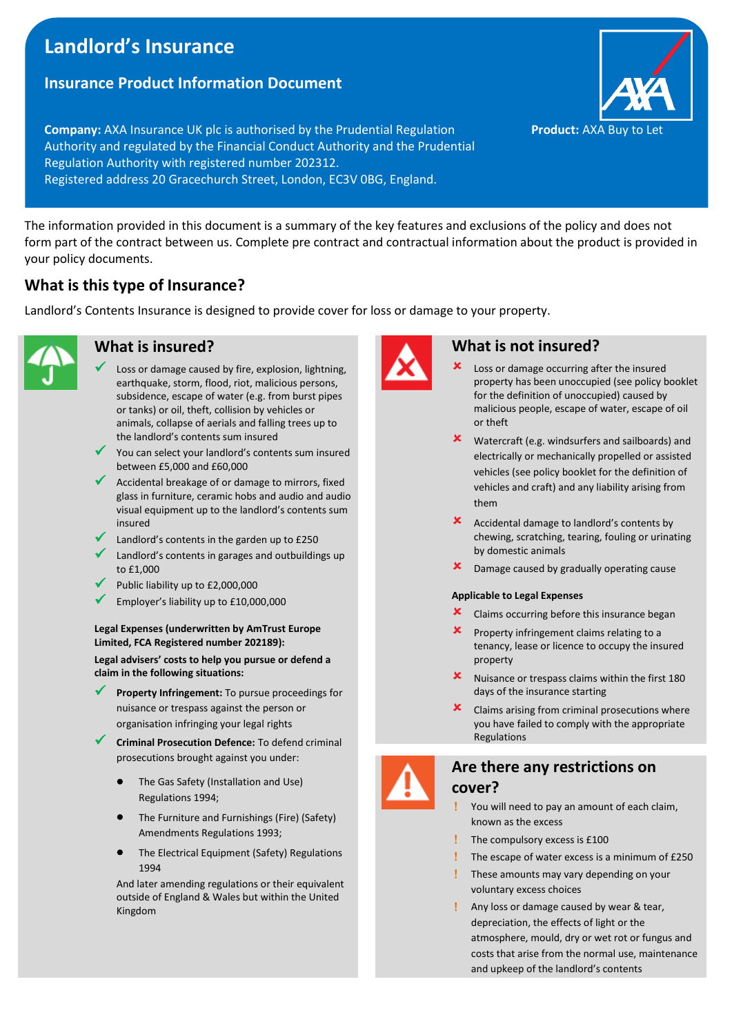# **Landlord's Insurance**

## **Insurance Product Information Document**

**Company:** AXA Insurance UK plc is authorised by the Prudential Regulation **Product:** AXA Buy to Let Authority and regulated by the Financial Conduct Authority and the Prudential Regulation Authority with registered number 202312. Registered address 20 Gracechurch Street, London, EC3V 0BG, England.

The information provided in this document is a summary of the key features and exclusions of the policy and does not form part of the contract between us. Complete pre contract and contractual information about the product is provided in your policy documents.

# **What is this type of Insurance?**

Landlord's Contents Insurance is designed to provide cover for loss or damage to your property.



## **What is insured?**

- Loss or damage caused by fire, explosion, lightning, earthquake, storm, flood, riot, malicious persons, subsidence, escape of water (e.g. from burst pipes or tanks) or oil, theft, collision by vehicles or animals, collapse of aerials and falling trees up to the landlord's contents sum insured
- ✓ You can select your landlord's contents sum insured between £5,000 and £60,000
- Accidental breakage of or damage to mirrors, fixed glass in furniture, ceramic hobs and audio and audio visual equipment up to the landlord's contents sum insured
- Landlord's contents in the garden up to £250
- Landlord's contents in garages and outbuildings up to £1,000
- Public liability up to £2,000,000
- Employer's liability up to £10,000,000

#### **Legal Expenses (underwritten by AmTrust Europe Limited, FCA Registered number 202189):**

**Legal advisers' costs to help you pursue or defend a claim in the following situations:**

- Property Infringement: To pursue proceedings for nuisance or trespass against the person or organisation infringing your legal rights
	- **Criminal Prosecution Defence:** To defend criminal prosecutions brought against you under:
		- The Gas Safety (Installation and Use) Regulations 1994;
		- The Furniture and Furnishings (Fire) (Safety) Amendments Regulations 1993;
		- The Electrical Equipment (Safety) Regulations 1994

And later amending regulations or their equivalent outside of England & Wales but within the United Kingdom



### **What is not insured?**

- Loss or damage occurring after the insured property has been unoccupied (see policy booklet for the definition of unoccupied) caused by malicious people, escape of water, escape of oil or theft
- Watercraft (e.g. windsurfers and sailboards) and electrically or mechanically propelled or assisted vehicles (see policy booklet for the definition of vehicles and craft) and any liability arising from them
- Accidental damage to landlord's contents by chewing, scratching, tearing, fouling or urinating by domestic animals
- **x** Damage caused by gradually operating cause

#### **Applicable to Legal Expenses**

- $\mathsf{\times}$  Claims occurring before this insurance began
- Property infringement claims relating to a tenancy, lease or licence to occupy the insured property
- Nuisance or trespass claims within the first 180 days of the insurance starting
- Claims arising from criminal prosecutions where you have failed to comply with the appropriate Regulations

# **Are there any restrictions on**



#### **cover?** You will need to pay an amount of each claim,

- known as the excess
- The compulsory excess is £100
- The escape of water excess is a minimum of £250
- These amounts may vary depending on your voluntary excess choices
- Any loss or damage caused by wear & tear, depreciation, the effects of light or the atmosphere, mould, dry or wet rot or fungus and costs that arise from the normal use, maintenance and upkeep of the landlord's contents